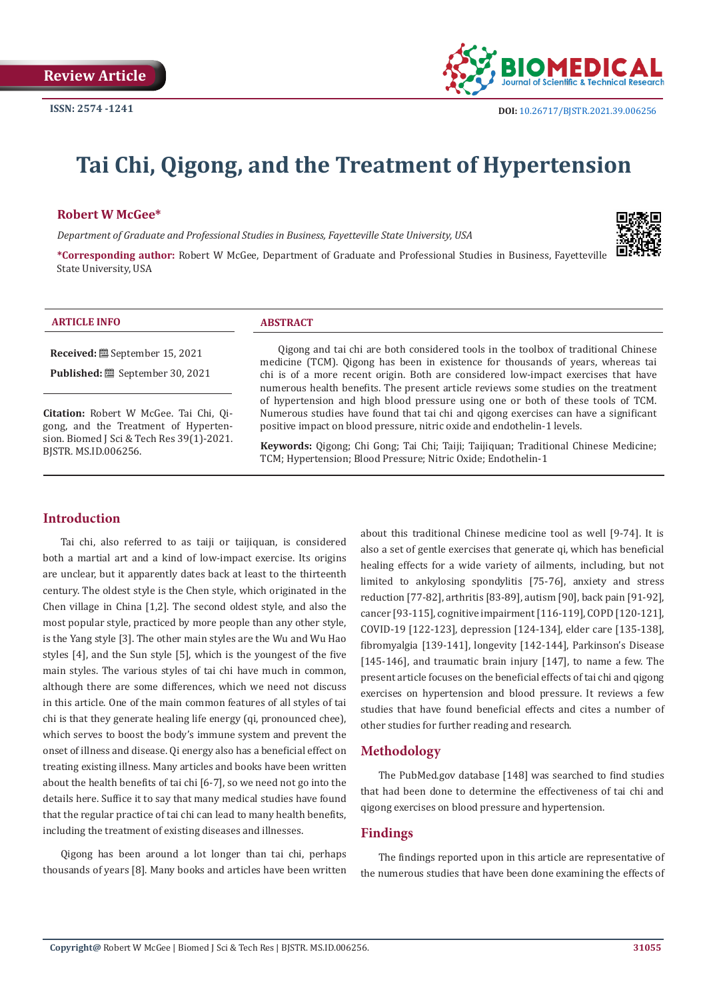

# **Tai Chi, Qigong, and the Treatment of Hypertension**

### **Robert W McGee\***

*Department of Graduate and Professional Studies in Business, Fayetteville State University, USA* 

**\*Corresponding author:** Robert W McGee, Department of Graduate and Professional Studies in Business, Fayetteville State University, USA

#### **ARTICLE INFO ABSTRACT**

**Received:** September 15, 2021

Published: **is** September 30, 2021

**Citation:** Robert W McGee. Tai Chi, Qigong, and the Treatment of Hypertension. Biomed J Sci & Tech Res 39(1)-2021. BJSTR. MS.ID.006256.

Qigong and tai chi are both considered tools in the toolbox of traditional Chinese medicine (TCM). Qigong has been in existence for thousands of years, whereas tai chi is of a more recent origin. Both are considered low-impact exercises that have numerous health benefits. The present article reviews some studies on the treatment of hypertension and high blood pressure using one or both of these tools of TCM. Numerous studies have found that tai chi and qigong exercises can have a significant positive impact on blood pressure, nitric oxide and endothelin-1 levels.

**Keywords:** Qigong; Chi Gong; Tai Chi; Taiji; Taijiquan; Traditional Chinese Medicine; TCM; Hypertension; Blood Pressure; Nitric Oxide; Endothelin-1

# **Introduction**

Tai chi, also referred to as taiji or taijiquan, is considered both a martial art and a kind of low-impact exercise. Its origins are unclear, but it apparently dates back at least to the thirteenth century. The oldest style is the Chen style, which originated in the Chen village in China [1,2]. The second oldest style, and also the most popular style, practiced by more people than any other style, is the Yang style [3]. The other main styles are the Wu and Wu Hao styles [4], and the Sun style [5], which is the youngest of the five main styles. The various styles of tai chi have much in common, although there are some differences, which we need not discuss in this article. One of the main common features of all styles of tai chi is that they generate healing life energy (qi, pronounced chee), which serves to boost the body's immune system and prevent the onset of illness and disease. Qi energy also has a beneficial effect on treating existing illness. Many articles and books have been written about the health benefits of tai chi [6-7], so we need not go into the details here. Suffice it to say that many medical studies have found that the regular practice of tai chi can lead to many health benefits, including the treatment of existing diseases and illnesses.

Qigong has been around a lot longer than tai chi, perhaps thousands of years [8]. Many books and articles have been written

about this traditional Chinese medicine tool as well [9-74]. It is also a set of gentle exercises that generate qi, which has beneficial healing effects for a wide variety of ailments, including, but not limited to ankylosing spondylitis [75-76], anxiety and stress reduction [77-82], arthritis [83-89], autism [90], back pain [91-92], cancer [93-115], cognitive impairment [116-119], COPD [120-121], COVID-19 [122-123], depression [124-134], elder care [135-138], fibromyalgia [139-141], longevity [142-144], Parkinson's Disease [145-146], and traumatic brain injury [147], to name a few. The present article focuses on the beneficial effects of tai chi and qigong exercises on hypertension and blood pressure. It reviews a few studies that have found beneficial effects and cites a number of other studies for further reading and research.

### **Methodology**

The PubMed.gov database [148] was searched to find studies that had been done to determine the effectiveness of tai chi and qigong exercises on blood pressure and hypertension.

## **Findings**

The findings reported upon in this article are representative of the numerous studies that have been done examining the effects of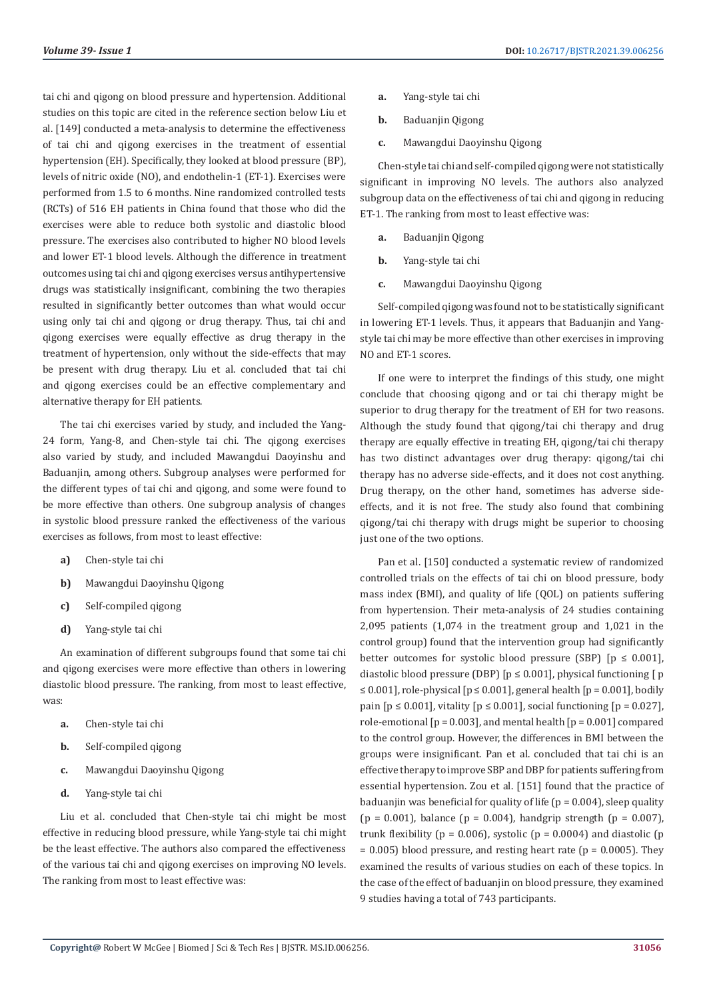tai chi and qigong on blood pressure and hypertension. Additional studies on this topic are cited in the reference section below Liu et al. [149] conducted a meta-analysis to determine the effectiveness of tai chi and qigong exercises in the treatment of essential hypertension (EH). Specifically, they looked at blood pressure (BP), levels of nitric oxide (NO), and endothelin-1 (ET-1). Exercises were performed from 1.5 to 6 months. Nine randomized controlled tests (RCTs) of 516 EH patients in China found that those who did the exercises were able to reduce both systolic and diastolic blood pressure. The exercises also contributed to higher NO blood levels and lower ET-1 blood levels. Although the difference in treatment outcomes using tai chi and qigong exercises versus antihypertensive drugs was statistically insignificant, combining the two therapies resulted in significantly better outcomes than what would occur using only tai chi and qigong or drug therapy. Thus, tai chi and qigong exercises were equally effective as drug therapy in the treatment of hypertension, only without the side-effects that may be present with drug therapy. Liu et al. concluded that tai chi and qigong exercises could be an effective complementary and alternative therapy for EH patients.

The tai chi exercises varied by study, and included the Yang-24 form, Yang-8, and Chen-style tai chi. The qigong exercises also varied by study, and included Mawangdui Daoyinshu and Baduanjin, among others. Subgroup analyses were performed for the different types of tai chi and qigong, and some were found to be more effective than others. One subgroup analysis of changes in systolic blood pressure ranked the effectiveness of the various exercises as follows, from most to least effective:

- **a)** Chen-style tai chi
- **b)** Mawangdui Daoyinshu Qigong
- **c)** Self-compiled qigong
- **d)** Yang-style tai chi

An examination of different subgroups found that some tai chi and qigong exercises were more effective than others in lowering diastolic blood pressure. The ranking, from most to least effective, was:

- **a.** Chen-style tai chi
- **b.** Self-compiled qigong
- **c.** Mawangdui Daoyinshu Qigong
- **d.** Yang-style tai chi

Liu et al. concluded that Chen-style tai chi might be most effective in reducing blood pressure, while Yang-style tai chi might be the least effective. The authors also compared the effectiveness of the various tai chi and qigong exercises on improving NO levels. The ranking from most to least effective was:

- **a.** Yang-style tai chi
- **b.** Baduanjin Qigong
- **c.** Mawangdui Daoyinshu Qigong

Chen-style tai chi and self-compiled qigong were not statistically significant in improving NO levels. The authors also analyzed subgroup data on the effectiveness of tai chi and qigong in reducing ET-1. The ranking from most to least effective was:

- **a.** Baduanjin Qigong
- **b.** Yang-style tai chi
- **c.** Mawangdui Daoyinshu Qigong

Self-compiled qigong was found not to be statistically significant in lowering ET-1 levels. Thus, it appears that Baduanjin and Yangstyle tai chi may be more effective than other exercises in improving NO and ET-1 scores.

If one were to interpret the findings of this study, one might conclude that choosing qigong and or tai chi therapy might be superior to drug therapy for the treatment of EH for two reasons. Although the study found that qigong/tai chi therapy and drug therapy are equally effective in treating EH, qigong/tai chi therapy has two distinct advantages over drug therapy: qigong/tai chi therapy has no adverse side-effects, and it does not cost anything. Drug therapy, on the other hand, sometimes has adverse sideeffects, and it is not free. The study also found that combining qigong/tai chi therapy with drugs might be superior to choosing just one of the two options.

Pan et al. [150] conducted a systematic review of randomized controlled trials on the effects of tai chi on blood pressure, body mass index (BMI), and quality of life (QOL) on patients suffering from hypertension. Their meta-analysis of 24 studies containing 2,095 patients (1,074 in the treatment group and 1,021 in the control group) found that the intervention group had significantly better outcomes for systolic blood pressure (SBP)  $[p \le 0.001]$ , diastolic blood pressure (DBP)  $[p \le 0.001]$ , physical functioning  $[p]$ ≤ 0.001], role-physical [ $p$  ≤ 0.001], general health [ $p$  = 0.001], bodily pain  $[p \le 0.001]$ , vitality  $[p \le 0.001]$ , social functioning  $[p = 0.027]$ , role-emotional  $[p = 0.003]$ , and mental health  $[p = 0.001]$  compared to the control group. However, the differences in BMI between the groups were insignificant. Pan et al. concluded that tai chi is an effective therapy to improve SBP and DBP for patients suffering from essential hypertension. Zou et al. [151] found that the practice of baduanjin was beneficial for quality of life ( $p = 0.004$ ), sleep quality  $(p = 0.001)$ , balance  $(p = 0.004)$ , handgrip strength  $(p = 0.007)$ , trunk flexibility ( $p = 0.006$ ), systolic ( $p = 0.0004$ ) and diastolic ( $p = 0.006$ )  $= 0.005$ ) blood pressure, and resting heart rate (p  $= 0.0005$ ). They examined the results of various studies on each of these topics. In the case of the effect of baduanjin on blood pressure, they examined 9 studies having a total of 743 participants.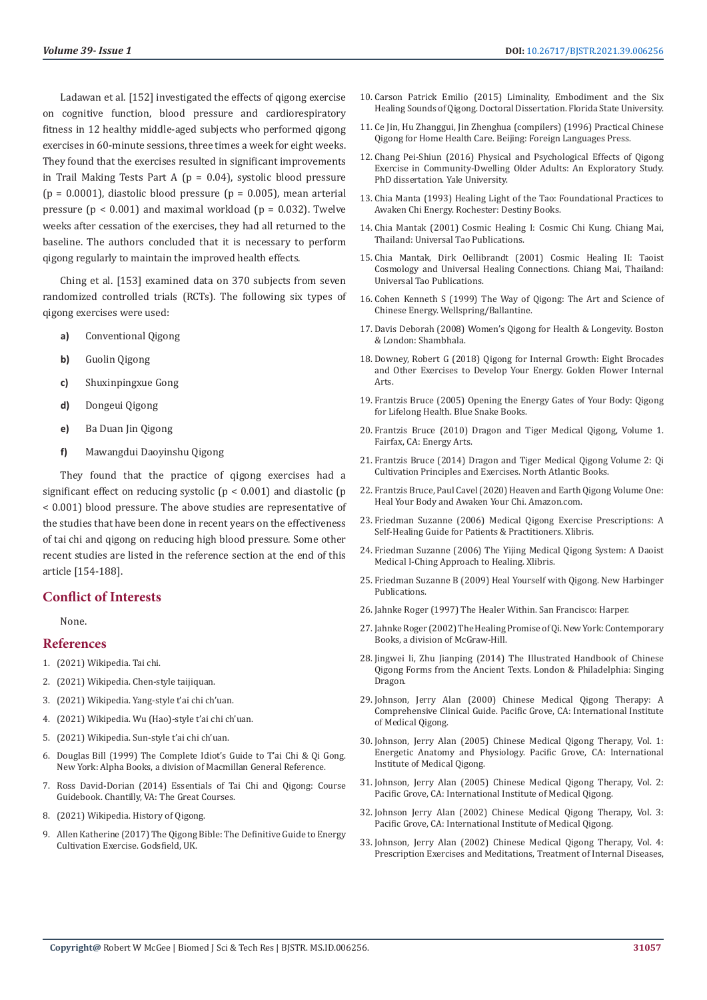Ladawan et al. [152] investigated the effects of qigong exercise on cognitive function, blood pressure and cardiorespiratory fitness in 12 healthy middle-aged subjects who performed qigong exercises in 60-minute sessions, three times a week for eight weeks. They found that the exercises resulted in significant improvements in Trail Making Tests Part A ( $p = 0.04$ ), systolic blood pressure ( $p = 0.0001$ ), diastolic blood pressure ( $p = 0.005$ ), mean arterial pressure ( $p < 0.001$ ) and maximal workload ( $p = 0.032$ ). Twelve weeks after cessation of the exercises, they had all returned to the baseline. The authors concluded that it is necessary to perform qigong regularly to maintain the improved health effects.

Ching et al. [153] examined data on 370 subjects from seven randomized controlled trials (RCTs). The following six types of qigong exercises were used:

- **a)** Conventional Qigong
- **b)** Guolin Qigong
- **c)** Shuxinpingxue Gong
- **d)** Dongeui Qigong
- **e)** Ba Duan Jin Qigong
- **f)** Mawangdui Daoyinshu Qigong

They found that the practice of qigong exercises had a significant effect on reducing systolic (p < 0.001) and diastolic (p < 0.001) blood pressure. The above studies are representative of the studies that have been done in recent years on the effectiveness of tai chi and qigong on reducing high blood pressure. Some other recent studies are listed in the reference section at the end of this article [154-188].

# **Conflict of Interests**

None.

### **References**

- 1. [\(2021\) Wikipedia. Tai chi.](https://en.wikipedia.org/wiki/Tai_chi)
- 2. [\(2021\) Wikipedia. Chen-style taijiquan.](https://en.wikipedia.org/wiki/Chen-style_taijiquan)
- 3. [\(2021\) Wikipedia. Yang-style t'ai chi ch'uan.](https://en.wikipedia.org/wiki/Yang-style_t%27ai_chi_ch%27uan)
- 4. [\(2021\) Wikipedia. Wu \(Hao\)-style t'ai chi ch'uan.](https://en.wikipedia.org/wiki/Wu_(Hao)-style_t%27ai_chi_ch%27uan)
- 5. [\(2021\) Wikipedia. Sun-style t'ai chi ch'uan.](https://en.wikipedia.org/wiki/Sun-style_t%27ai_chi_ch%27uan)
- 6. Douglas Bill (1999) The Complete Idiot's Guide to T'ai Chi & Qi Gong. New York: Alpha Books, a division of Macmillan General Reference.
- 7. [Ross David-Dorian \(2014\) Essentials of Tai Chi and Qigong: Course](https://www.thegreatcourses.com/courses/essentials-of-tai-chi-and-qi-gong)  [Guidebook. Chantilly, VA: The Great Courses.](https://www.thegreatcourses.com/courses/essentials-of-tai-chi-and-qi-gong)
- 8. (2021) Wikipedia. History of Qigong.
- 9. [Allen Katherine \(2017\) The Qigong Bible: The Definitive Guide to Energy](https://www.amazon.in/Qigong-Bible-Godsfield/dp/1841814628)  [Cultivation Exercise. Godsfield, UK.](https://www.amazon.in/Qigong-Bible-Godsfield/dp/1841814628)
- 10. [Carson Patrick Emilio \(2015\) Liminality, Embodiment and the Six](https://fsu.digital.flvc.org/islandora/object/fsu:253208/datastream/PDF/view) [Healing Sounds of Qigong. Doctoral Dissertation. Florida State University.](https://fsu.digital.flvc.org/islandora/object/fsu:253208/datastream/PDF/view)
- 11. [Ce Jin, Hu Zhanggui, Jin Zhenghua \(compilers\) \(1996\) Practical Chinese](https://www.amazon.com/Practical-Chinese-Qigong-Home-Health/dp/7119000705) [Qigong for Home Health Care. Beijing: Foreign Languages Press.](https://www.amazon.com/Practical-Chinese-Qigong-Home-Health/dp/7119000705)
- 12. [Chang Pei-Shiun \(2016\) Physical and Psychological Effects of Qigong](https://www.proquest.com/openview/565714add45860f99ae46c28fd315e3f/1?pq-origsite=gscholar&cbl=18750) [Exercise in Community-Dwelling Older Adults: An Exploratory Study.](https://www.proquest.com/openview/565714add45860f99ae46c28fd315e3f/1?pq-origsite=gscholar&cbl=18750) [PhD dissertation. Yale University.](https://www.proquest.com/openview/565714add45860f99ae46c28fd315e3f/1?pq-origsite=gscholar&cbl=18750)
- 13. [Chia Manta \(1993\) Healing Light of the Tao: Foundational Practices to](https://www.amazon.in/Healing-Light-Tao-Foundational-Practices/dp/1594771138) [Awaken Chi Energy. Rochester: Destiny Books.](https://www.amazon.in/Healing-Light-Tao-Foundational-Practices/dp/1594771138)
- 14. [Chia Mantak \(2001\) Cosmic Healing I: Cosmic Chi Kung. Chiang Mai,](https://issuu.com/olmec9/docs/cosmic_healing_i.mantak_chia) [Thailand: Universal Tao Publications.](https://issuu.com/olmec9/docs/cosmic_healing_i.mantak_chia)
- 15. [Chia Mantak, Dirk Oellibrandt \(2001\) Cosmic Healing II: Taoist](https://www.amazon.com/Cosmic-Healing-Cosmology-Universal-Connections/dp/9748767264) [Cosmology and Universal Healing Connections. Chiang Mai, Thailand:](https://www.amazon.com/Cosmic-Healing-Cosmology-Universal-Connections/dp/9748767264) [Universal Tao Publications.](https://www.amazon.com/Cosmic-Healing-Cosmology-Universal-Connections/dp/9748767264)
- 16. [Cohen Kenneth S \(1999\) The Way of Qigong: The Art and Science of](https://www.amazon.com/Way-Qigong-Science-Chinese-Healing/dp/0345421094) [Chinese Energy. Wellspring/Ballantine.](https://www.amazon.com/Way-Qigong-Science-Chinese-Healing/dp/0345421094)
- 17. [Davis Deborah \(2008\) Women's Qigong for Health & Longevity. Boston](https://www.amazon.com/Womens-Qigong-Health-Longevity-Practical/dp/159030537X) [& London: Shambhala.](https://www.amazon.com/Womens-Qigong-Health-Longevity-Practical/dp/159030537X)
- 18. [Downey, Robert G \(2018\) Qigong for Internal Growth: Eight Brocades](https://www.amazon.com/Qigong-Internal-Growth-Brocades-exercises/dp/1976973619) [and Other Exercises to Develop Your Energy. Golden Flower Internal](https://www.amazon.com/Qigong-Internal-Growth-Brocades-exercises/dp/1976973619) [Arts.](https://www.amazon.com/Qigong-Internal-Growth-Brocades-exercises/dp/1976973619)
- 19. [Frantzis Bruce \(2005\) Opening the Energy Gates of Your Body: Qigong](https://www.amazon.in/Opening-Energy-Gates-Your-Body/dp/1583941460) [for Lifelong Health. Blue Snake Books.](https://www.amazon.in/Opening-Energy-Gates-Your-Body/dp/1583941460)
- 20. [Frantzis Bruce \(2010\) Dragon and Tiger Medical Qigong, Volume 1.](https://www.amazon.in/Opening-Energy-Gates-Your-Body/dp/1583941460) [Fairfax, CA: Energy Arts.](https://www.amazon.in/Opening-Energy-Gates-Your-Body/dp/1583941460)
- 21. [Frantzis Bruce \(2014\) Dragon and Tiger Medical Qigong Volume 2: Qi](https://www.amazon.in/Dragon-Tiger-Medical-Qigong-Cultivation/dp/1583946616) [Cultivation Principles and Exercises. North Atlantic Books.](https://www.amazon.in/Dragon-Tiger-Medical-Qigong-Cultivation/dp/1583946616)
- 22. [Frantzis Bruce, Paul Cavel \(2020\) Heaven and Earth Qigong Volume One:](https://www.amazon.in/Heaven-Earth-Qigong-One-Awaken-ebook/dp/B083ZKBZG9) [Heal Your Body and Awaken Your Chi. Amazon.com.](https://www.amazon.in/Heaven-Earth-Qigong-One-Awaken-ebook/dp/B083ZKBZG9)
- 23. [Friedman Suzanne \(2006\) Medical Qigong Exercise Prescriptions: A](https://www.amazon.com/Medical-Qigong-Exercise-Prescriptions-Practitioners/dp/1425707149) [Self-Healing Guide for Patients & Practitioners. Xlibris.](https://www.amazon.com/Medical-Qigong-Exercise-Prescriptions-Practitioners/dp/1425707149)
- 24. [Friedman Suzanne \(2006\) The Yijing Medical Qigong System: A Daoist](https://www.amazon.com/Yijing-Medical-Qigong-System-Approach/dp/1425710948) [Medical I-Ching Approach to Healing. Xlibris.](https://www.amazon.com/Yijing-Medical-Qigong-System-Approach/dp/1425710948)
- 25. [Friedman Suzanne B \(2009\) Heal Yourself with Qigong. New Harbinger](https://www.amazon.com/Heal-Yourself-Qigong-Practices-Increase/dp/1572245832) [Publications.](https://www.amazon.com/Heal-Yourself-Qigong-Practices-Increase/dp/1572245832)
- 26. [Jahnke Roger \(1997\) The Healer Within. San Francisco: Harper.](https://www.amazon.com/Healer-Within-Roger-Jahnke/dp/B009NOGT2C)
- 27. [Jahnke Roger \(2002\) The Healing Promise of Qi. New York: Contemporary](https://www.amazon.in/Healing-Promise-Qi-Creating-Extraordinary/dp/0809295288) [Books, a division of McGraw-Hill.](https://www.amazon.in/Healing-Promise-Qi-Creating-Extraordinary/dp/0809295288)
- 28. [Jingwei li, Zhu Jianping \(2014\) The Illustrated Handbook of Chinese](https://www.amazon.com/Illustrated-Handbook-Chinese-Qigong-Ancient/dp/1848191979) [Qigong Forms from the Ancient Texts. London & Philadelphia: Singing](https://www.amazon.com/Illustrated-Handbook-Chinese-Qigong-Ancient/dp/1848191979) [Dragon.](https://www.amazon.com/Illustrated-Handbook-Chinese-Qigong-Ancient/dp/1848191979)
- 29. [Johnson, Jerry Alan \(2000\) Chinese Medical Qigong Therapy: A](http://bibliosjd.org/wp-content/uploads/2017/03/J.Johnson-Chinese-Medical-Qigong-Therapy28Vol-329_Part1.pdf) [Comprehensive Clinical Guide. Pacific Grove, CA: International Institute](http://bibliosjd.org/wp-content/uploads/2017/03/J.Johnson-Chinese-Medical-Qigong-Therapy28Vol-329_Part1.pdf) [of Medical Qigong.](http://bibliosjd.org/wp-content/uploads/2017/03/J.Johnson-Chinese-Medical-Qigong-Therapy28Vol-329_Part1.pdf)
- 30. [Johnson, Jerry Alan \(2005\) Chinese Medical Qigong Therapy, Vol. 1:](https://www.amazon.com/Chinese-Medical-Qigong-Therapy-Vol-1/dp/1885246285) [Energetic Anatomy and Physiology. Pacific Grove, CA: International](https://www.amazon.com/Chinese-Medical-Qigong-Therapy-Vol-1/dp/1885246285) [Institute of Medical Qigong.](https://www.amazon.com/Chinese-Medical-Qigong-Therapy-Vol-1/dp/1885246285)
- 31. [Johnson, Jerry Alan \(2005\) Chinese Medical Qigong Therapy, Vol. 2:](https://qigongdragon.com/?gclid=EAIaIQobChMI1Pna__-e8wIVUpNmAh1E7gIdEAAYASAAEgJ1APD_BwE) [Pacific Grove, CA: International Institute of Medical Qigong.](https://qigongdragon.com/?gclid=EAIaIQobChMI1Pna__-e8wIVUpNmAh1E7gIdEAAYASAAEgJ1APD_BwE)
- 32. [Johnson Jerry Alan \(2002\) Chinese Medical Qigong Therapy, Vol. 3:](http://bibliosjd.org/wp-content/uploads/2017/03/J.Johnson-Chinese-Medical-Qigong-Therapy28Vol-329_Part1.pdf) [Pacific Grove, CA: International Institute of Medical Qigong.](http://bibliosjd.org/wp-content/uploads/2017/03/J.Johnson-Chinese-Medical-Qigong-Therapy28Vol-329_Part1.pdf)
- 33. [Johnson, Jerry Alan \(2002\) Chinese Medical Qigong Therapy, Vol. 4:](https://www.herbsandtouch.nl/en/Chinese-Medical-Qigong-Therapy-VOL-4/) [Prescription Exercises and Meditations, Treatment of Internal Diseases,](https://www.herbsandtouch.nl/en/Chinese-Medical-Qigong-Therapy-VOL-4/)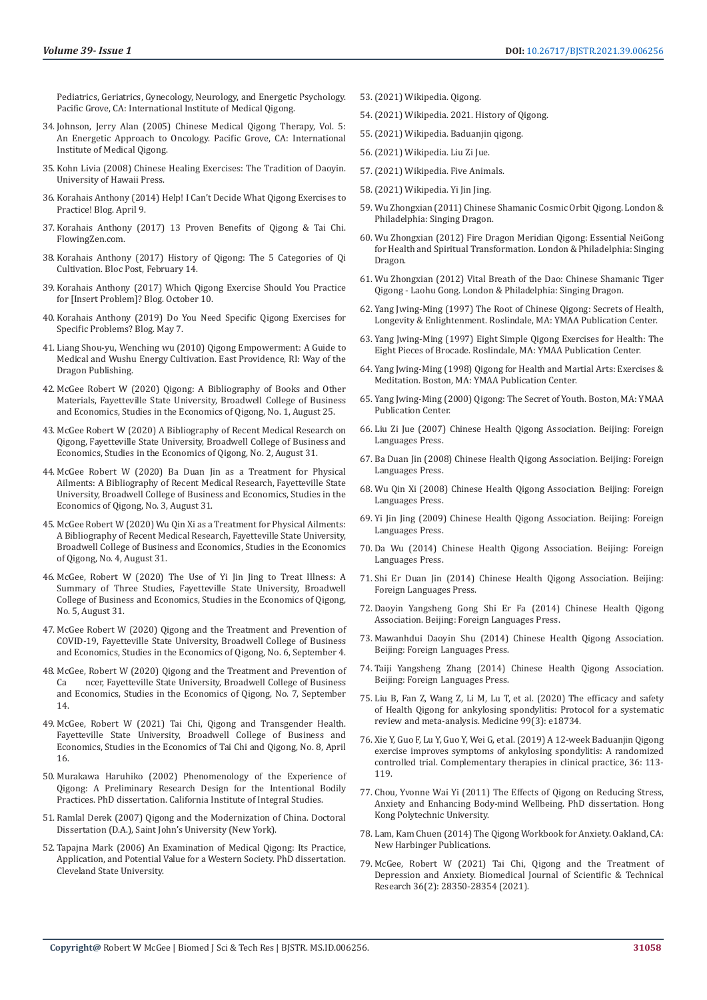[Pediatrics, Geriatrics, Gynecology, Neurology, and Energetic Psychology.](https://www.herbsandtouch.nl/en/Chinese-Medical-Qigong-Therapy-VOL-4/)  [Pacific Grove, CA: International Institute of Medical Qigong.](https://www.herbsandtouch.nl/en/Chinese-Medical-Qigong-Therapy-VOL-4/)

- 34. Johnson, Jerry Alan (2005) Chinese Medical Qigong Therapy, Vol. 5: An Energetic Approach to Oncology. Pacific Grove, CA: International Institute of Medical Qigong.
- 35. [Kohn Livia \(2008\) Chinese Healing Exercises: The Tradition of Daoyin.](https://uhpress.hawaii.edu/title/chinese-healing-exercises-the-tradition-of-daoyin/)  [University of Hawaii Press.](https://uhpress.hawaii.edu/title/chinese-healing-exercises-the-tradition-of-daoyin/)
- 36. [Korahais Anthony \(2014\) Help! I Can't Decide What Qigong Exercises to](https://flowingzen.com/2089/help-i-cant-decide-what-to-practice/)  [Practice! Blog. April 9.](https://flowingzen.com/2089/help-i-cant-decide-what-to-practice/)
- 37. Korahais Anthony (2017) 13 Proven Benefits of Qigong & Tai Chi. FlowingZen.com.
- 38. [Korahais Anthony \(2017\) History of Qigong: The 5 Categories of Qi](https://flowingzen.com/18271/history-of-qigong-the-5-categories-of-qi-cultivation/)  [Cultivation. Bloc Post, February 14.](https://flowingzen.com/18271/history-of-qigong-the-5-categories-of-qi-cultivation/)
- 39. [Korahais Anthony \(2017\) Which Qigong Exercise Should You Practice](https://flowingzen.com/19278/which-qigong-exercise-should-you-practice-for-insert-problem/)  [for \[Insert Problem\]? Blog. October 10.](https://flowingzen.com/19278/which-qigong-exercise-should-you-practice-for-insert-problem/)
- 40. [Korahais Anthony \(2019\) Do You Need Specific Qigong Exercises for](https://flowingzen.com/20686/do-you-need-specific-qigong-exercises-for-specific-problems/)  [Specific Problems? Blog. May 7.](https://flowingzen.com/20686/do-you-need-specific-qigong-exercises-for-specific-problems/)
- 41. [Liang Shou-yu, Wenching wu \(2010\) Qigong Empowerment: A Guide to](https://philpapers.org/rec/LIAQEA)  [Medical and Wushu Energy Cultivation. East Providence, RI: Way of the](https://philpapers.org/rec/LIAQEA)  [Dragon Publishing.](https://philpapers.org/rec/LIAQEA)
- 42. [McGee Robert W \(2020\) Qigong: A Bibliography of Books and Other](https://www.researchgate.net/publication/344244325_Qigong_A_Bibliography_of_Books_and_Other_Materials)  [Materials, Fayetteville State University, Broadwell College of Business](https://www.researchgate.net/publication/344244325_Qigong_A_Bibliography_of_Books_and_Other_Materials)  [and Economics, Studies in the Economics of Qigong, No. 1, August 25.](https://www.researchgate.net/publication/344244325_Qigong_A_Bibliography_of_Books_and_Other_Materials)
- 43. McGee Robert W (2020) A Bibliography of Recent Medical Research on Qigong, Fayetteville State University, Broadwell College of Business and Economics, Studies in the Economics of Qigong, No. 2, August 31.
- 44. McGee Robert W (2020) Ba Duan Jin as a Treatment for Physical Ailments: A Bibliography of Recent Medical Research, Fayetteville State University, Broadwell College of Business and Economics, Studies in the Economics of Qigong, No. 3, August 31.
- 45. McGee Robert W (2020) Wu Qin Xi as a Treatment for Physical Ailments: A Bibliography of Recent Medical Research, Fayetteville State University, Broadwell College of Business and Economics, Studies in the Economics of Qigong, No. 4, August 31.
- 46. [McGee, Robert W \(2020\) The Use of Yi Jin Jing to Treat Illness: A](https://www.scribd.com/document/516692950/The-Use-of-Yi-Jin-Jing-to-Treat-Illness)  [Summary of Three Studies, Fayetteville State University, Broadwell](https://www.scribd.com/document/516692950/The-Use-of-Yi-Jin-Jing-to-Treat-Illness)  [College of Business and Economics, Studies in the Economics of Qigong,](https://www.scribd.com/document/516692950/The-Use-of-Yi-Jin-Jing-to-Treat-Illness)  [No. 5, August 31.](https://www.scribd.com/document/516692950/The-Use-of-Yi-Jin-Jing-to-Treat-Illness)
- 47. McGee Robert W (2020) Qigong and the Treatment and Prevention of COVID-19, Fayetteville State University, Broadwell College of Business and Economics, Studies in the Economics of Qigong, No. 6, September 4.
- 48. McGee, Robert W (2020) Qigong and the Treatment and Prevention of Ca neer. Favetteville State University. Broadwell College of Business ncer, Fayetteville State University, Broadwell College of Business and Economics, Studies in the Economics of Qigong, No. 7, September 14.
- 49. [McGee, Robert W \(2021\) Tai Chi, Qigong and Transgender Health.](https://www.academia.edu/46910907/Tai_Chi_Qigong_and_Transgender_Health)  [Fayetteville State University, Broadwell College of Business and](https://www.academia.edu/46910907/Tai_Chi_Qigong_and_Transgender_Health)  [Economics, Studies in the Economics of Tai Chi and Qigong, No. 8, April](https://www.academia.edu/46910907/Tai_Chi_Qigong_and_Transgender_Health)  [16.](https://www.academia.edu/46910907/Tai_Chi_Qigong_and_Transgender_Health)
- 50. [Murakawa Haruhiko \(2002\) Phenomenology of the Experience of](file:///F:/Journals/BJSTR.MS.ID.006256/BJSTR-C-21-RW-415_W/BJSTR-C-21-RW-415_W/50.%09Murakawa%20Haruhiko%20(2002)%20Phenomenology%20of%20the%20Experience%20of%20Qigong:%20A%20Preliminary%20Research%20Design%20for%20the%20Intentional%20Bodily%20Practices.%20PhD%20dissertation.%20California%20Institute%20of%20Integral%20Studies.)  [Qigong: A Preliminary Research Design for the Intentional Bodily](file:///F:/Journals/BJSTR.MS.ID.006256/BJSTR-C-21-RW-415_W/BJSTR-C-21-RW-415_W/50.%09Murakawa%20Haruhiko%20(2002)%20Phenomenology%20of%20the%20Experience%20of%20Qigong:%20A%20Preliminary%20Research%20Design%20for%20the%20Intentional%20Bodily%20Practices.%20PhD%20dissertation.%20California%20Institute%20of%20Integral%20Studies.)  [Practices. PhD dissertation. California Institute of Integral Studies.](file:///F:/Journals/BJSTR.MS.ID.006256/BJSTR-C-21-RW-415_W/BJSTR-C-21-RW-415_W/50.%09Murakawa%20Haruhiko%20(2002)%20Phenomenology%20of%20the%20Experience%20of%20Qigong:%20A%20Preliminary%20Research%20Design%20for%20the%20Intentional%20Bodily%20Practices.%20PhD%20dissertation.%20California%20Institute%20of%20Integral%20Studies.)
- 51. Ramlal Derek (2007) Qigong and the Modernization of China. Doctoral Dissertation (D.A.), Saint John's University (New York).
- 52. Tapajna Mark (2006) An Examination of Medical Qigong: Its Practice, Application, and Potential Value for a Western Society. PhD dissertation. Cleveland State University.
- 53.(2021) Wikipedia. Qigong.
- 54.(2021) Wikipedia. 2021. History of Qigong.
- 55.(2021) Wikipedia. Baduanjin qigong.
- 56.[\(2021\) Wikipedia. Liu Zi Jue.](https://en.wikipedia.org/wiki/Liu_Zi_Jue)
- 57.[\(2021\) Wikipedia. Five Animals.](https://en.wikipedia.org/wiki/Five_Animals)
- 58.[\(2021\) Wikipedia. Yi Jin Jing.](https://en.wikipedia.org/wiki/Yijin_Jing)
- 59. [Wu Zhongxian \(2011\) Chinese Shamanic Cosmic Orbit Qigong. London &](https://www.amazon.in/Chinese-Shamanic-Cosmic-Orbit-Qigong/dp/1848190565) [Philadelphia: Singing Dragon.](https://www.amazon.in/Chinese-Shamanic-Cosmic-Orbit-Qigong/dp/1848190565)
- 60. [Wu Zhongxian \(2012\) Fire Dragon Meridian Qigong: Essential NeiGong](https://www.amazon.in/Fire-Dragon-Meridian-Qigong-Transformation/dp/1848191030) [for Health and Spiritual Transformation. London & Philadelphia: Singing](https://www.amazon.in/Fire-Dragon-Meridian-Qigong-Transformation/dp/1848191030) [Dragon.](https://www.amazon.in/Fire-Dragon-Meridian-Qigong-Transformation/dp/1848191030)
- 61. [Wu Zhongxian \(2012\) Vital Breath of the Dao: Chinese Shamanic Tiger](https://www.amazon.in/Vital-Breath-Dao-Chinese-Shamanic-ebook/dp/B00K58E24C) [Qigong - Laohu Gong. London & Philadelphia: Singing Dragon.](https://www.amazon.in/Vital-Breath-Dao-Chinese-Shamanic-ebook/dp/B00K58E24C)
- 62. [Yang Jwing-Ming \(1997\) The Root of Chinese Qigong: Secrets of Health,](https://www.amazon.in/Root-Chinese-Qigong-Longevity-Enlightenment/dp/1886969507) [Longevity & Enlightenment. Roslindale, MA: YMAA Publication Center.](https://www.amazon.in/Root-Chinese-Qigong-Longevity-Enlightenment/dp/1886969507)
- 63. [Yang Jwing-Ming \(1997\) Eight Simple Qigong Exercises for Health: The](https://www.amazon.in/Eight-Simple-Qigong-Exercises-Brocade/dp/1886969523) [Eight Pieces of Brocade. Roslindale, MA: YMAA Publication Center.](https://www.amazon.in/Eight-Simple-Qigong-Exercises-Brocade/dp/1886969523)
- 64. [Yang Jwing-Ming \(1998\) Qigong for Health and Martial Arts: Exercises &](https://www.amazon.in/Qigong-Health-Martial-Arts-Meditation/dp/1886969574) [Meditation. Boston, MA: YMAA Publication Center.](https://www.amazon.in/Qigong-Health-Martial-Arts-Meditation/dp/1886969574)
- 65. [Yang Jwing-Ming \(2000\) Qigong: The Secret of Youth. Boston, MA: YMAA](https://ymaa.com/sites/default/files/book/sample/Qigong-The-Secret-of-Youth.pdf) [Publication Center.](https://ymaa.com/sites/default/files/book/sample/Qigong-The-Secret-of-Youth.pdf)
- 66. [Liu Zi Jue \(2007\) Chinese Health Qigong Association. Beijing: Foreign](https://www.amazon.in/Liu-Zi-Jue-Chinese-Health/dp/7119047809) [Languages Press.](https://www.amazon.in/Liu-Zi-Jue-Chinese-Health/dp/7119047809)
- 67. Ba Duan Jin (2008) Chinese Health Qigong Association. Beijing: Foreign Languages Press.
- 68. [Wu Qin Xi \(2008\) Chinese Health Qigong Association. Beijing: Foreign](https://www.amazon.in/Wu-Qin-Xi-Five-Animal-Exercises/dp/1848190077) [Languages Press.](https://www.amazon.in/Wu-Qin-Xi-Five-Animal-Exercises/dp/1848190077)
- 69. [Yi Jin Jing \(2009\) Chinese Health Qigong Association. Beijing: Foreign](https://www.amazon.in/Books-Chinese-Health-Qigong-Association/s?rh=n%3A976389031%2Cp_27%3AThe+Chinese+Health+Qigong+Association) [Languages Press.](https://www.amazon.in/Books-Chinese-Health-Qigong-Association/s?rh=n%3A976389031%2Cp_27%3AThe+Chinese+Health+Qigong+Association)
- 70. [Da Wu \(2014\) Chinese Health Qigong Association. Beijing: Foreign](https://www.amazon.in/Books-Chinese-Health-Qigong-Association/s?rh=n%3A976389031%2Cp_27%3AThe+Chinese+Health+Qigong+Association) [Languages Press.](https://www.amazon.in/Books-Chinese-Health-Qigong-Association/s?rh=n%3A976389031%2Cp_27%3AThe+Chinese+Health+Qigong+Association)
- 71. [Shi Er Duan Jin \(2014\) Chinese Health Qigong Association. Beijing:](https://www.amazon.in/Shi-Duan-Jin-12-Routine-Exercises/dp/184819191X) [Foreign Languages Press.](https://www.amazon.in/Shi-Duan-Jin-12-Routine-Exercises/dp/184819191X)
- 72. [Daoyin Yangsheng Gong Shi Er Fa \(2014\) Chinese Health Qigong](https://www.amazon.in/Daoyin-Yangsheng-Gong-Shi-12-Movement/dp/1848191952) [Association. Beijing: Foreign Languages Press.](https://www.amazon.in/Daoyin-Yangsheng-Gong-Shi-12-Movement/dp/1848191952)
- 73. Mawanhdui Daoyin Shu (2014) Chinese Health Qigong Association. Beijing: Foreign Languages Press.
- 74. [Taiji Yangsheng Zhang \(2014\) Chinese Health Qigong Association.](https://www.amazon.com/Taiji-Yangsheng-Zhang-Qigong-Chinese/dp/1787752356) [Beijing: Foreign Languages Press.](https://www.amazon.com/Taiji-Yangsheng-Zhang-Qigong-Chinese/dp/1787752356)
- 75. [Liu B, Fan Z, Wang Z, Li M, Lu T, et al. \(2020\) The efficacy and safety](https://www.ncbi.nlm.nih.gov/pmc/articles/PMC7220104/) [of Health Qigong for ankylosing spondylitis: Protocol for a systematic](https://www.ncbi.nlm.nih.gov/pmc/articles/PMC7220104/) [review and meta-analysis. Medicine 99\(3\): e18734.](https://www.ncbi.nlm.nih.gov/pmc/articles/PMC7220104/)
- 76. [Xie Y, Guo F, Lu Y, Guo Y, Wei G, et al. \(2019\) A 12-week Baduanjin Qigong](https://pubmed.ncbi.nlm.nih.gov/31383427/) [exercise improves symptoms of ankylosing spondylitis: A randomized](https://pubmed.ncbi.nlm.nih.gov/31383427/) [controlled trial. Complementary therapies in clinical practice, 36: 113-](https://pubmed.ncbi.nlm.nih.gov/31383427/) [119.](https://pubmed.ncbi.nlm.nih.gov/31383427/)
- 77. [Chou, Yvonne Wai Yi \(2011\) The Effects of Qigong on Reducing Stress,](https://theses.lib.polyu.edu.hk/handle/200/6260?mode=full) [Anxiety and Enhancing Body-mind Wellbeing. PhD dissertation. Hong](https://theses.lib.polyu.edu.hk/handle/200/6260?mode=full) [Kong Polytechnic University.](https://theses.lib.polyu.edu.hk/handle/200/6260?mode=full)
- 78. [Lam, Kam Chuen \(2014\) The Qigong Workbook for Anxiety. Oakland, CA:](https://qigongdragon.com/?gclid=EAIaIQobChMIn6yWooyf8wIV4J1LBR1lTAUeEAAYASAAEgKfrfD_BwE) [New Harbinger Publications.](https://qigongdragon.com/?gclid=EAIaIQobChMIn6yWooyf8wIV4J1LBR1lTAUeEAAYASAAEgKfrfD_BwE)
- 79. [McGee, Robert W \(2021\) Tai Chi, Qigong and the Treatment of](https://ideas.repec.org/a/abf/journl/v36y2021i2p28350-28353.html) [Depression and Anxiety. Biomedical Journal of Scientific & Technical](https://ideas.repec.org/a/abf/journl/v36y2021i2p28350-28353.html) [Research 36\(2\): 28350-28354 \(2021\).](https://ideas.repec.org/a/abf/journl/v36y2021i2p28350-28353.html)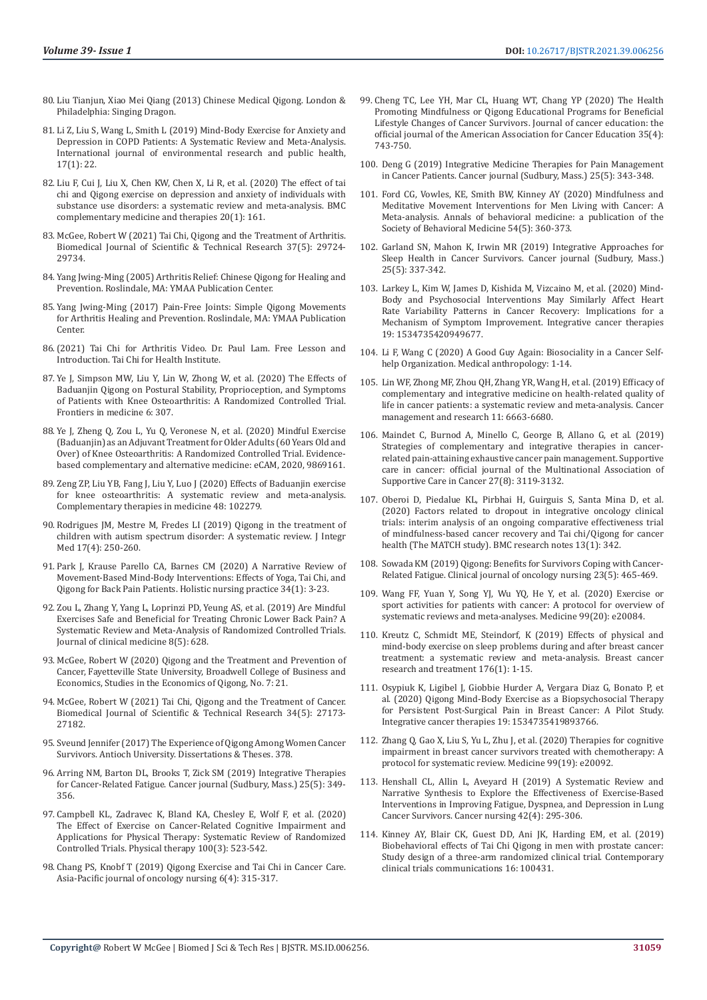- 80. [Liu Tianjun, Xiao Mei Qiang \(2013\) Chinese Medical Qigong. London &](https://www.amazon.in/Chinese-Medical-Qigong-Tianjun-Liu/dp/1848190964)  [Philadelphia: Singing Dragon.](https://www.amazon.in/Chinese-Medical-Qigong-Tianjun-Liu/dp/1848190964)
- 81. [Li Z, Liu S, Wang L, Smith L \(2019\) Mind-Body Exercise for Anxiety and](https://pubmed.ncbi.nlm.nih.gov/31861418/)  [Depression in COPD Patients: A Systematic Review and Meta-Analysis.](https://pubmed.ncbi.nlm.nih.gov/31861418/)  [International journal of environmental research and public health,](https://pubmed.ncbi.nlm.nih.gov/31861418/)  [17\(1\): 22.](https://pubmed.ncbi.nlm.nih.gov/31861418/)
- 82. [Liu F, Cui J, Liu X, Chen KW, Chen X, Li R, et al. \(2020\) The effect of tai](https://pubmed.ncbi.nlm.nih.gov/32471415/)  [chi and Qigong exercise on depression and anxiety of individuals with](https://pubmed.ncbi.nlm.nih.gov/32471415/)  [substance use disorders: a systematic review and meta-analysis. BMC](https://pubmed.ncbi.nlm.nih.gov/32471415/)  [complementary medicine and therapies 20\(1\): 161.](https://pubmed.ncbi.nlm.nih.gov/32471415/)
- 83. [McGee, Robert W \(2021\) Tai Chi, Qigong and the Treatment of Arthritis.](https://biomedres.us/pdfs/BJSTR.MS.ID.006051.pdf)  [Biomedical Journal of Scientific & Technical Research 37\(5\): 29724-](https://biomedres.us/pdfs/BJSTR.MS.ID.006051.pdf) [29734.](https://biomedres.us/pdfs/BJSTR.MS.ID.006051.pdf)
- 84. [Yang Jwing-Ming \(2005\) Arthritis Relief: Chinese Qigong for Healing and](https://www.amazon.com/Arthritis-Relief-Chinese-Healing-Prevention/dp/1594390339)  [Prevention. Roslindale, MA: YMAA Publication Center.](https://www.amazon.com/Arthritis-Relief-Chinese-Healing-Prevention/dp/1594390339)
- 85. [Yang Jwing-Ming \(2017\) Pain-Free Joints: Simple Qigong Movements](https://www.amazon.com/Pain-Free-Joints-Jwing-Ming-Yang/dp/1594395357)  [for Arthritis Healing and Prevention. Roslindale, MA: YMAA Publication](https://www.amazon.com/Pain-Free-Joints-Jwing-Ming-Yang/dp/1594395357)  [Center.](https://www.amazon.com/Pain-Free-Joints-Jwing-Ming-Yang/dp/1594395357)
- 86.[\(2021\) Tai Chi for Arthritis Video. Dr. Paul Lam. Free Lesson and](https://www.youtube.com/watch?v=tAOuEpa01j4)  [Introduction. Tai Chi for Health Institute.](https://www.youtube.com/watch?v=tAOuEpa01j4)
- 87. [Ye J, Simpson MW, Liu Y, Lin W, Zhong W, et al. \(2020\) The Effects of](https://pubmed.ncbi.nlm.nih.gov/31998728/)  [Baduanjin Qigong on Postural Stability, Proprioception, and Symptoms](https://pubmed.ncbi.nlm.nih.gov/31998728/)  [of Patients with Knee Osteoarthritis: A Randomized Controlled Trial.](https://pubmed.ncbi.nlm.nih.gov/31998728/)  [Frontiers in medicine 6: 307.](https://pubmed.ncbi.nlm.nih.gov/31998728/)
- 88. [Ye J, Zheng Q, Zou L, Yu Q, Veronese N, et al. \(2020\) Mindful Exercise](https://pubmed.ncbi.nlm.nih.gov/32617115/)  [\(Baduanjin\) as an Adjuvant Treatment for Older Adults \(60 Years Old and](https://pubmed.ncbi.nlm.nih.gov/32617115/)  [Over\) of Knee Osteoarthritis: A Randomized Controlled Trial. Evidence](https://pubmed.ncbi.nlm.nih.gov/32617115/)[based complementary and alternative medicine: eCAM, 2020, 9869161.](https://pubmed.ncbi.nlm.nih.gov/32617115/)
- 89. [Zeng ZP, Liu YB, Fang J, Liu Y, Luo J \(2020\) Effects of Baduanjin exercise](https://pubmed.ncbi.nlm.nih.gov/31987253/)  [for knee osteoarthritis: A systematic review and meta-analysis.](https://pubmed.ncbi.nlm.nih.gov/31987253/)  [Complementary therapies in medicine 48: 102279.](https://pubmed.ncbi.nlm.nih.gov/31987253/)
- 90. [Rodrigues JM, Mestre M, Fredes LI \(2019\) Qigong in the treatment of](https://pubmed.ncbi.nlm.nih.gov/31053555/)  [children with autism spectrum disorder: A systematic review. J Integr](https://pubmed.ncbi.nlm.nih.gov/31053555/)  [Med 17\(4\): 250-260.](https://pubmed.ncbi.nlm.nih.gov/31053555/)
- 91. [Park J, Krause Parello CA, Barnes CM \(2020\) A Narrative Review of](https://pubmed.ncbi.nlm.nih.gov/31725096/)  [Movement-Based Mind-Body Interventions: Effects of Yoga, Tai Chi, and](https://pubmed.ncbi.nlm.nih.gov/31725096/)  [Qigong for Back Pain Patients. Holistic nursing practice 34\(1\): 3-23.](https://pubmed.ncbi.nlm.nih.gov/31725096/)
- 92. [Zou L, Zhang Y, Yang L, Loprinzi PD, Yeung AS, et al. \(2019\) Are Mindful](https://pubmed.ncbi.nlm.nih.gov/31072005/)  [Exercises Safe and Beneficial for Treating Chronic Lower Back Pain? A](https://pubmed.ncbi.nlm.nih.gov/31072005/)  [Systematic Review and Meta-Analysis of Randomized Controlled Trials.](https://pubmed.ncbi.nlm.nih.gov/31072005/)  [Journal of clinical medicine 8\(5\): 628.](https://pubmed.ncbi.nlm.nih.gov/31072005/)
- 93. [McGee, Robert W \(2020\) Qigong and the Treatment and Prevention of](https://papers.ssrn.com/sol3/papers.cfm?abstract_id=3692125)  [Cancer, Fayetteville State University, Broadwell College of Business and](https://papers.ssrn.com/sol3/papers.cfm?abstract_id=3692125)  [Economics, Studies in the Economics of Qigong, No. 7: 21.](https://papers.ssrn.com/sol3/papers.cfm?abstract_id=3692125)
- 94. [McGee, Robert W \(2021\) Tai Chi, Qigong and the Treatment of Cancer.](https://ideas.repec.org/a/abf/journl/v34y2021i5p27173-27182.html)  [Biomedical Journal of Scientific & Technical Research 34\(5\): 27173-](https://ideas.repec.org/a/abf/journl/v34y2021i5p27173-27182.html)  [27182.](https://ideas.repec.org/a/abf/journl/v34y2021i5p27173-27182.html)
- 95. Sveund Jennifer (2017) The Experience of Qigong Among Women Cancer Survivors. Antioch University. Dissertations & Theses. 378.
- 96. [Arring NM, Barton DL, Brooks T, Zick SM \(2019\) Integrative Therapies](https://pubmed.ncbi.nlm.nih.gov/31567463/)  [for Cancer-Related Fatigue. Cancer journal \(Sudbury, Mass.\) 25\(5\): 349-](https://pubmed.ncbi.nlm.nih.gov/31567463/) [356.](https://pubmed.ncbi.nlm.nih.gov/31567463/)
- 97. [Campbell KL, Zadravec K, Bland KA, Chesley E, Wolf F, et al. \(2020\)](https://pubmed.ncbi.nlm.nih.gov/32065236/)  [The Effect of Exercise on Cancer-Related Cognitive Impairment and](https://pubmed.ncbi.nlm.nih.gov/32065236/)  [Applications for Physical Therapy: Systematic Review of Randomized](https://pubmed.ncbi.nlm.nih.gov/32065236/)  [Controlled Trials. Physical therapy 100\(3\): 523-542.](https://pubmed.ncbi.nlm.nih.gov/32065236/)
- 98. [Chang PS, Knobf T \(2019\) Qigong Exercise and Tai Chi in Cancer Care.](https://www.apjon.org/article.asp?issn=2347-5625;year=2019;volume=6;issue=4;spage=315;epage=317;aulast=Chang)  [Asia-Pacific journal of oncology nursing 6\(4\): 315-317.](https://www.apjon.org/article.asp?issn=2347-5625;year=2019;volume=6;issue=4;spage=315;epage=317;aulast=Chang)
- 99. [Cheng TC, Lee YH, Mar CL, Huang WT, Chang YP \(2020\) The Health](https://pubmed.ncbi.nlm.nih.gov/31001740/) [Promoting Mindfulness or Qigong Educational Programs for Beneficial](https://pubmed.ncbi.nlm.nih.gov/31001740/) [Lifestyle Changes of Cancer Survivors. Journal of cancer education: the](https://pubmed.ncbi.nlm.nih.gov/31001740/) [official journal of the American Association for Cancer Education 35\(4\):](https://pubmed.ncbi.nlm.nih.gov/31001740/) [743-750.](https://pubmed.ncbi.nlm.nih.gov/31001740/)
- 100. [Deng G \(2019\) Integrative Medicine Therapies for Pain Management](https://pubmed.ncbi.nlm.nih.gov/31567462/) [in Cancer Patients. Cancer journal \(Sudbury, Mass.\) 25\(5\): 343-348.](https://pubmed.ncbi.nlm.nih.gov/31567462/)
- 101. [Ford CG, Vowles, KE, Smith BW, Kinney AY \(2020\) Mindfulness and](https://pubmed.ncbi.nlm.nih.gov/31773148/) [Meditative Movement Interventions for Men Living with Cancer: A](https://pubmed.ncbi.nlm.nih.gov/31773148/) [Meta-analysis. Annals of behavioral medicine: a publication of the](https://pubmed.ncbi.nlm.nih.gov/31773148/) [Society of Behavioral Medicine 54\(5\): 360-373.](https://pubmed.ncbi.nlm.nih.gov/31773148/)
- 102. [Garland SN, Mahon K, Irwin MR \(2019\) Integrative Approaches for](https://pubmed.ncbi.nlm.nih.gov/31567461/) [Sleep Health in Cancer Survivors. Cancer journal \(Sudbury, Mass.\)](https://pubmed.ncbi.nlm.nih.gov/31567461/) [25\(5\): 337-342.](https://pubmed.ncbi.nlm.nih.gov/31567461/)
- 103. [Larkey L, Kim W, James D, Kishida M, Vizcaino M, et al. \(2020\) Mind-](https://pubmed.ncbi.nlm.nih.gov/32783546/)[Body and Psychosocial Interventions May Similarly Affect Heart](https://pubmed.ncbi.nlm.nih.gov/32783546/) [Rate Variability Patterns in Cancer Recovery: Implications for a](https://pubmed.ncbi.nlm.nih.gov/32783546/) [Mechanism of Symptom Improvement. Integrative cancer therapies](https://pubmed.ncbi.nlm.nih.gov/32783546/) [19: 1534735420949677.](https://pubmed.ncbi.nlm.nih.gov/32783546/)
- 104. Li F, Wang C (2020) A Good Guy Again: Biosociality in a Cancer Selfhelp Organization. Medical anthropology: 1-14.
- 105. [Lin WF, Zhong MF, Zhou QH, Zhang YR, Wang H, et al. \(2019\) Efficacy of](https://pubmed.ncbi.nlm.nih.gov/31413628/) [complementary and integrative medicine on health-related quality of](https://pubmed.ncbi.nlm.nih.gov/31413628/) [life in cancer patients: a systematic review and meta-analysis. Cancer](https://pubmed.ncbi.nlm.nih.gov/31413628/) [management and research 11: 6663-6680.](https://pubmed.ncbi.nlm.nih.gov/31413628/)
- 106. [Maindet C, Burnod A, Minello C, George B, Allano G, et al. \(2019\)](https://pubmed.ncbi.nlm.nih.gov/31076901/) [Strategies of complementary and integrative therapies in cancer](https://pubmed.ncbi.nlm.nih.gov/31076901/)[related pain-attaining exhaustive cancer pain management. Supportive](https://pubmed.ncbi.nlm.nih.gov/31076901/) [care in cancer: official journal of the Multinational Association of](https://pubmed.ncbi.nlm.nih.gov/31076901/) [Supportive Care in Cancer 27\(8\): 3119-3132.](https://pubmed.ncbi.nlm.nih.gov/31076901/)
- 107. [Oberoi D, Piedalue KL, Pirbhai H, Guirguis S, Santa Mina D, et al.](https://www.ncbi.nlm.nih.gov/pmc/articles/PMC7368667/) [\(2020\) Factors related to dropout in integrative oncology clinical](https://www.ncbi.nlm.nih.gov/pmc/articles/PMC7368667/) [trials: interim analysis of an ongoing comparative effectiveness trial](https://www.ncbi.nlm.nih.gov/pmc/articles/PMC7368667/) [of mindfulness-based cancer recovery and Tai chi/Qigong for cancer](https://www.ncbi.nlm.nih.gov/pmc/articles/PMC7368667/) [health \(The MATCH study\). BMC research notes 13\(1\): 342.](https://www.ncbi.nlm.nih.gov/pmc/articles/PMC7368667/)
- 108. Sowada KM (2019) Qigong: Benefits for Survivors Coping with Cancer-Related Fatigue. Clinical journal of oncology nursing 23(5): 465-469.
- 109. [Wang FF, Yuan Y, Song YJ, Wu YQ, He Y, et al. \(2020\) Exercise or](https://journals.lww.com/md-journal/fulltext/2020/05150/exercise_or_sport_activities_for_patients_with.34.aspx) [sport activities for patients with cancer: A protocol for overview of](https://journals.lww.com/md-journal/fulltext/2020/05150/exercise_or_sport_activities_for_patients_with.34.aspx) [systematic reviews and meta-analyses. Medicine 99\(20\): e20084.](https://journals.lww.com/md-journal/fulltext/2020/05150/exercise_or_sport_activities_for_patients_with.34.aspx)
- 110. [Kreutz C, Schmidt ME, Steindorf, K \(2019\) Effects of physical and](https://pubmed.ncbi.nlm.nih.gov/30955185/) [mind-body exercise on sleep problems during and after breast cancer](https://pubmed.ncbi.nlm.nih.gov/30955185/) [treatment: a systematic review and meta-analysis. Breast cancer](https://pubmed.ncbi.nlm.nih.gov/30955185/) [research and treatment 176\(1\): 1-15.](https://pubmed.ncbi.nlm.nih.gov/30955185/)
- 111. [Osypiuk K, Ligibel J, Giobbie Hurder A, Vergara Diaz G, Bonato P, et](https://pubmed.ncbi.nlm.nih.gov/32009481/) [al. \(2020\) Qigong Mind-Body Exercise as a Biopsychosocial Therapy](https://pubmed.ncbi.nlm.nih.gov/32009481/) [for Persistent Post-Surgical Pain in Breast Cancer: A Pilot Study.](https://pubmed.ncbi.nlm.nih.gov/32009481/) [Integrative cancer therapies 19: 1534735419893766.](https://pubmed.ncbi.nlm.nih.gov/32009481/)
- 112. [Zhang Q, Gao X, Liu S, Yu L, Zhu J, et al. \(2020\) Therapies for cognitive](https://pubmed.ncbi.nlm.nih.gov/32384481/) [impairment in breast cancer survivors treated with chemotherapy: A](https://pubmed.ncbi.nlm.nih.gov/32384481/) [protocol for systematic review. Medicine 99\(19\): e20092.](https://pubmed.ncbi.nlm.nih.gov/32384481/)
- 113. [Henshall CL, Allin L, Aveyard H \(2019\) A Systematic Review and](https://pubmed.ncbi.nlm.nih.gov/29787385/) [Narrative Synthesis to Explore the Effectiveness of Exercise-Based](https://pubmed.ncbi.nlm.nih.gov/29787385/) [Interventions in Improving Fatigue, Dyspnea, and Depression in Lung](https://pubmed.ncbi.nlm.nih.gov/29787385/) [Cancer Survivors. Cancer nursing 42\(4\): 295-306.](https://pubmed.ncbi.nlm.nih.gov/29787385/)
- 114. [Kinney AY, Blair CK, Guest DD, Ani JK, Harding EM, et al. \(2019\)](https://pubmed.ncbi.nlm.nih.gov/31650067/) [Biobehavioral effects of Tai Chi Qigong in men with prostate cancer:](https://pubmed.ncbi.nlm.nih.gov/31650067/) [Study design of a three-arm randomized clinical trial. Contemporary](https://pubmed.ncbi.nlm.nih.gov/31650067/) [clinical trials communications 16: 100431.](https://pubmed.ncbi.nlm.nih.gov/31650067/)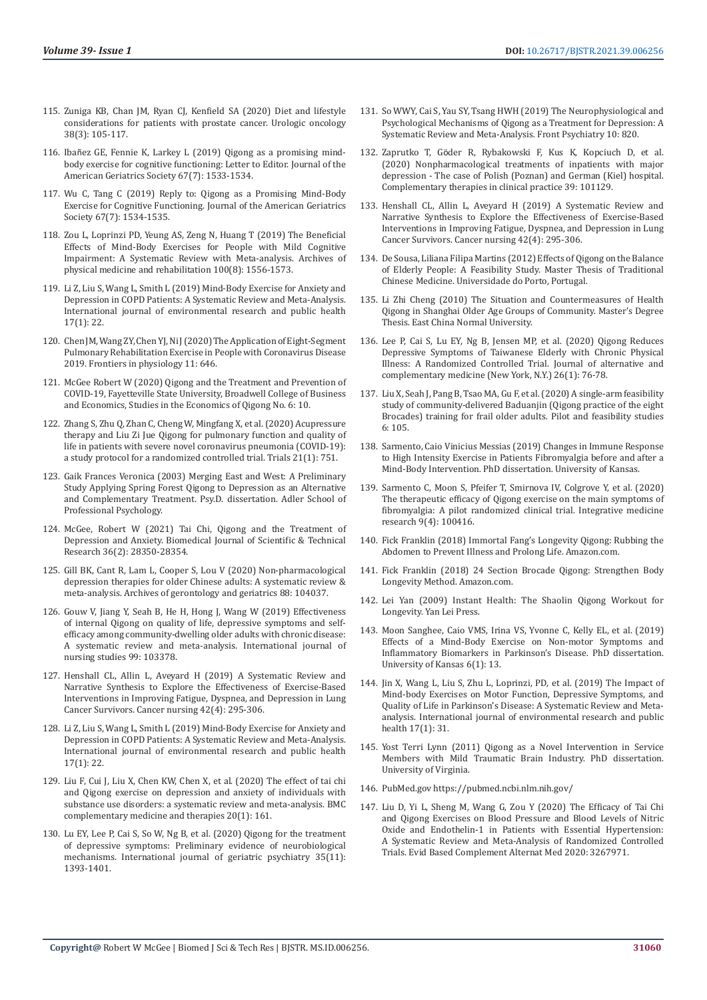- 115. [Zuniga KB, Chan JM, Ryan CJ, Kenfield SA \(2020\) Diet and lifestyle](https://pubmed.ncbi.nlm.nih.gov/31327752/)  [considerations for patients with prostate cancer. Urologic oncology](https://pubmed.ncbi.nlm.nih.gov/31327752/)  [38\(3\): 105-117.](https://pubmed.ncbi.nlm.nih.gov/31327752/)
- 116. Ibañ[ez GE, Fennie K, Larkey L \(2019\) Qigong as a promising mind](https://www.semanticscholar.org/paper/Qigong-as-a-promising-mind%E2%80%90body-exercise-for-Letter-Iba%C3%B1ez-Fennie/975d3485a820fdce19ad667fbbca5c8ed9f187a2)[body exercise for cognitive functioning: Letter to Editor. Journal of the](https://www.semanticscholar.org/paper/Qigong-as-a-promising-mind%E2%80%90body-exercise-for-Letter-Iba%C3%B1ez-Fennie/975d3485a820fdce19ad667fbbca5c8ed9f187a2)  [American Geriatrics Society 67\(7\): 1533-1534.](https://www.semanticscholar.org/paper/Qigong-as-a-promising-mind%E2%80%90body-exercise-for-Letter-Iba%C3%B1ez-Fennie/975d3485a820fdce19ad667fbbca5c8ed9f187a2)
- 117. [Wu C, Tang C \(2019\) Reply to: Qigong as a Promising Mind-Body](https://agsjournals.onlinelibrary.wiley.com/doi/full/10.1111/jgs.15952)  [Exercise for Cognitive Functioning. Journal of the American Geriatrics](https://agsjournals.onlinelibrary.wiley.com/doi/full/10.1111/jgs.15952)  [Society 67\(7\): 1534-1535.](https://agsjournals.onlinelibrary.wiley.com/doi/full/10.1111/jgs.15952)
- 118. [Zou L, Loprinzi PD, Yeung AS, Zeng N, Huang T \(2019\) The Beneficial](https://pubmed.ncbi.nlm.nih.gov/30986409/)  [Effects of Mind-Body Exercises for People with Mild Cognitive](https://pubmed.ncbi.nlm.nih.gov/30986409/)  [Impairment: A Systematic Review with Meta-analysis. Archives of](https://pubmed.ncbi.nlm.nih.gov/30986409/)  [physical medicine and rehabilitation 100\(8\): 1556-1573.](https://pubmed.ncbi.nlm.nih.gov/30986409/)
- 119. [Li Z, Liu S, Wang L, Smith L \(2019\) Mind-Body Exercise for Anxiety and](https://pubmed.ncbi.nlm.nih.gov/31861418/)  [Depression in COPD Patients: A Systematic Review and Meta-Analysis.](https://pubmed.ncbi.nlm.nih.gov/31861418/)  [International journal of environmental research and public health](https://pubmed.ncbi.nlm.nih.gov/31861418/)  [17\(1\): 22.](https://pubmed.ncbi.nlm.nih.gov/31861418/)
- 120. [Chen JM, Wang ZY, Chen YJ, Ni J \(2020\) The Application of Eight-Segment](https://www.ncbi.nlm.nih.gov/pmc/articles/PMC7273974/)  [Pulmonary Rehabilitation Exercise in People with Coronavirus Disease](https://www.ncbi.nlm.nih.gov/pmc/articles/PMC7273974/)  [2019. Frontiers in physiology 11: 646.](https://www.ncbi.nlm.nih.gov/pmc/articles/PMC7273974/)
- 121. [McGee Robert W \(2020\) Qigong and the Treatment and Prevention of](https://papers.ssrn.com/sol3/papers.cfm?abstract_id=3686381)  [COVID-19, Fayetteville State University, Broadwell College of Business](https://papers.ssrn.com/sol3/papers.cfm?abstract_id=3686381)  [and Economics, Studies in the Economics of Qigong No. 6: 10.](https://papers.ssrn.com/sol3/papers.cfm?abstract_id=3686381)
- 122. [Zhang S, Zhu Q, Zhan C, Cheng W, Mingfang X, et al. \(2020\) Acupressure](https://pubmed.ncbi.nlm.nih.gov/32854761/)  [therapy and Liu Zi Jue Qigong for pulmonary function and quality of](https://pubmed.ncbi.nlm.nih.gov/32854761/)  [life in patients with severe novel coronavirus pneumonia \(COVID-19\):](https://pubmed.ncbi.nlm.nih.gov/32854761/)  [a study protocol for a randomized controlled trial. Trials 21\(1\): 751.](https://pubmed.ncbi.nlm.nih.gov/32854761/)
- 123. [Gaik Frances Veronica \(2003\) Merging East and West: A Preliminary](https://www.proquest.com/openview/c3cea14b8f5bc3babc9e68a2b141b84c/1?pq-origsite=gscholar&cbl=18750&diss=y)  [Study Applying Spring Forest Qigong to Depression as an Alternative](https://www.proquest.com/openview/c3cea14b8f5bc3babc9e68a2b141b84c/1?pq-origsite=gscholar&cbl=18750&diss=y)  [and Complementary Treatment. Psy.D. dissertation. Adler School of](https://www.proquest.com/openview/c3cea14b8f5bc3babc9e68a2b141b84c/1?pq-origsite=gscholar&cbl=18750&diss=y)  [Professional Psychology.](https://www.proquest.com/openview/c3cea14b8f5bc3babc9e68a2b141b84c/1?pq-origsite=gscholar&cbl=18750&diss=y)
- 124. [McGee, Robert W \(2021\) Tai Chi, Qigong and the Treatment of](https://econpapers.repec.org/article/abfjournl/v_3a36_3ay_3a2021_3ai_3a2_3ap_3a28350-28353.htm)  [Depression and Anxiety. Biomedical Journal of Scientific & Technical](https://econpapers.repec.org/article/abfjournl/v_3a36_3ay_3a2021_3ai_3a2_3ap_3a28350-28353.htm)  [Research 36\(2\): 28350-28354.](https://econpapers.repec.org/article/abfjournl/v_3a36_3ay_3a2021_3ai_3a2_3ap_3a28350-28353.htm)
- 125. [Gill BK, Cant R, Lam L, Cooper S, Lou V \(2020\) Non-pharmacological](https://pubmed.ncbi.nlm.nih.gov/32135393/)  [depression therapies for older Chinese adults: A systematic review &](https://pubmed.ncbi.nlm.nih.gov/32135393/)  [meta-analysis. Archives of gerontology and geriatrics 88: 104037.](https://pubmed.ncbi.nlm.nih.gov/32135393/)
- 126. [Gouw V, Jiang Y, Seah B, He H, Hong J, Wang W \(2019\) Effectiveness](https://pubmed.ncbi.nlm.nih.gov/31450083/)  [of internal Qigong on quality of life, depressive symptoms and self](https://pubmed.ncbi.nlm.nih.gov/31450083/)[efficacy among community-dwelling older adults with chronic disease:](https://pubmed.ncbi.nlm.nih.gov/31450083/)  [A systematic review and meta-analysis. International journal of](https://pubmed.ncbi.nlm.nih.gov/31450083/)  [nursing studies 99: 103378.](https://pubmed.ncbi.nlm.nih.gov/31450083/)
- 127. [Henshall CL, Allin L, Aveyard H \(2019\) A Systematic Review and](https://pubmed.ncbi.nlm.nih.gov/29787385/)  [Narrative Synthesis to Explore the Effectiveness of Exercise-Based](https://pubmed.ncbi.nlm.nih.gov/29787385/)  [Interventions in Improving Fatigue, Dyspnea, and Depression in Lung](https://pubmed.ncbi.nlm.nih.gov/29787385/)  [Cancer Survivors. Cancer nursing 42\(4\): 295-306.](https://pubmed.ncbi.nlm.nih.gov/29787385/)
- 128. [Li Z, Liu S, Wang L, Smith L \(2019\) Mind-Body Exercise for Anxiety and](https://pubmed.ncbi.nlm.nih.gov/31861418/)  [Depression in COPD Patients: A Systematic Review and Meta-Analysis.](https://pubmed.ncbi.nlm.nih.gov/31861418/)  [International journal of environmental research and public health](https://pubmed.ncbi.nlm.nih.gov/31861418/)  [17\(1\): 22.](https://pubmed.ncbi.nlm.nih.gov/31861418/)
- 129. [Liu F, Cui J, Liu X, Chen KW, Chen X, et al. \(2020\) The effect of tai chi](https://www.ncbi.nlm.nih.gov/pmc/articles/PMC7260819/)  [and Qigong exercise on depression and anxiety of individuals with](https://www.ncbi.nlm.nih.gov/pmc/articles/PMC7260819/)  [substance use disorders: a systematic review and meta-analysis. BMC](https://www.ncbi.nlm.nih.gov/pmc/articles/PMC7260819/)  [complementary medicine and therapies 20\(1\): 161.](https://www.ncbi.nlm.nih.gov/pmc/articles/PMC7260819/)
- 130. [Lu EY, Lee P, Cai S, So W, Ng B, et al. \(2020\) Qigong for the treatment](https://pubmed.ncbi.nlm.nih.gov/32662069/)  [of depressive symptoms: Preliminary evidence of neurobiological](https://pubmed.ncbi.nlm.nih.gov/32662069/)  [mechanisms. International journal of geriatric psychiatry 35\(11\):](https://pubmed.ncbi.nlm.nih.gov/32662069/)  [1393-1401.](https://pubmed.ncbi.nlm.nih.gov/32662069/)
- 131. [So WWY, Cai S, Yau SY, Tsang HWH \(2019\) The Neurophysiological and](https://pubmed.ncbi.nlm.nih.gov/31824346/) [Psychological Mechanisms of Qigong as a Treatment for Depression: A](https://pubmed.ncbi.nlm.nih.gov/31824346/) [Systematic Review and Meta-Analysis. Front Psychiatry 10: 820.](https://pubmed.ncbi.nlm.nih.gov/31824346/)
- 132. Zaprutko T, Gö[der R, Rybakowski F, Kus K, Kopciuch D, et al.](https://pubmed.ncbi.nlm.nih.gov/32379644/) [\(2020\) Nonpharmacological treatments of inpatients with major](https://pubmed.ncbi.nlm.nih.gov/32379644/) [depression - The case of Polish \(Poznan\) and German \(Kiel\) hospital.](https://pubmed.ncbi.nlm.nih.gov/32379644/) [Complementary therapies in clinical practice 39: 101129.](https://pubmed.ncbi.nlm.nih.gov/32379644/)
- 133. [Henshall CL, Allin L, Aveyard H \(2019\) A Systematic Review and](https://pubmed.ncbi.nlm.nih.gov/29787385/) [Narrative Synthesis to Explore the Effectiveness of Exercise-Based](https://pubmed.ncbi.nlm.nih.gov/29787385/) [Interventions in Improving Fatigue, Dyspnea, and Depression in Lung](https://pubmed.ncbi.nlm.nih.gov/29787385/) [Cancer Survivors. Cancer nursing 42\(4\): 295-306.](https://pubmed.ncbi.nlm.nih.gov/29787385/)
- 134. [De Sousa, Liliana Filipa Martins \(2012\) Effects of Qigong on the Balance](https://core.ac.uk/download/pdf/143395553.pdf) [of Elderly People: A Feasibility Study. Master Thesis of Traditional](https://core.ac.uk/download/pdf/143395553.pdf) [Chinese Medicine. Universidade do Porto, Portugal.](https://core.ac.uk/download/pdf/143395553.pdf)
- 135. Li Zhi Cheng (2010) The Situation and Countermeasures of Health Qigong in Shanghai Older Age Groups of Community. Master's Degree Thesis. East China Normal University.
- 136. [Lee P, Cai S, Lu EY, Ng B, Jensen MP, et al. \(2020\) Qigong Reduces](https://pubmed.ncbi.nlm.nih.gov/31855445/) [Depressive Symptoms of Taiwanese Elderly with Chronic Physical](https://pubmed.ncbi.nlm.nih.gov/31855445/) [Illness: A Randomized Controlled Trial. Journal of alternative and](https://pubmed.ncbi.nlm.nih.gov/31855445/) [complementary medicine \(New York, N.Y.\) 26\(1\): 76-78.](https://pubmed.ncbi.nlm.nih.gov/31855445/)
- 137. [Liu X, Seah J, Pang B, Tsao MA, Gu F, et al. \(2020\) A single-arm feasibility](https://pilotfeasibilitystudies.biomedcentral.com/articles/10.1186/s40814-020-00649-3) [study of community-delivered Baduanjin \(Qigong practice of the eight](https://pilotfeasibilitystudies.biomedcentral.com/articles/10.1186/s40814-020-00649-3) [Brocades\) training for frail older adults. Pilot and feasibility studies](https://pilotfeasibilitystudies.biomedcentral.com/articles/10.1186/s40814-020-00649-3) [6: 105.](https://pilotfeasibilitystudies.biomedcentral.com/articles/10.1186/s40814-020-00649-3)
- 138. Sarmento, Caio Vinicius Messias (2019) Changes in Immune Response to High Intensity Exercise in Patients Fibromyalgia before and after a Mind-Body Intervention. PhD dissertation. University of Kansas.
- 139. [Sarmento C, Moon S, Pfeifer T, Smirnova IV, Colgrove Y, et al. \(2020\)](https://pubmed.ncbi.nlm.nih.gov/32455108/) [The therapeutic efficacy of Qigong exercise on the main symptoms of](https://pubmed.ncbi.nlm.nih.gov/32455108/) [fibromyalgia: A pilot randomized clinical trial. Integrative medicine](https://pubmed.ncbi.nlm.nih.gov/32455108/) [research 9\(4\): 100416.](https://pubmed.ncbi.nlm.nih.gov/32455108/)
- 140. Fick Franklin (2018) Immortal Fang's Longevity Qigong: Rubbing the Abdomen to Prevent Illness and Prolong Life. Amazon.com.
- 141. Fick Franklin (2018) 24 Section Brocade Qigong: Strengthen Body Longevity Method. Amazon.com.
- 142. Lei Yan (2009) Instant Health: The Shaolin Qigong Workout for Longevity. Yan Lei Press.
- 143. [Moon Sanghee, Caio VMS, Irina VS, Yvonne C, Kelly EL, et al. \(2019\)](https://pubmed.ncbi.nlm.nih.gov/30669324/) [Effects of a Mind-Body Exercise on Non-motor Symptoms and](https://pubmed.ncbi.nlm.nih.gov/30669324/) [Inflammatory Biomarkers in Parkinson's Disease. PhD dissertation.](https://pubmed.ncbi.nlm.nih.gov/30669324/) [University of Kansas 6\(1\): 13.](https://pubmed.ncbi.nlm.nih.gov/30669324/)
- 144. [Jin X, Wang L, Liu S, Zhu L, Loprinzi, PD, et al. \(2019\) The Impact of](https://pubmed.ncbi.nlm.nih.gov/31861456/) [Mind-body Exercises on Motor Function, Depressive Symptoms, and](https://pubmed.ncbi.nlm.nih.gov/31861456/) [Quality of Life in Parkinson's Disease: A Systematic Review and Meta](https://pubmed.ncbi.nlm.nih.gov/31861456/)[analysis. International journal of environmental research and public](https://pubmed.ncbi.nlm.nih.gov/31861456/) [health 17\(1\): 31.](https://pubmed.ncbi.nlm.nih.gov/31861456/)
- 145. Yost Terri Lynn (2011) Qigong as a Novel Intervention in Service Members with Mild Traumatic Brain Industry. PhD dissertation. University of Virginia.
- 146. PubMed.gov<https://pubmed.ncbi.nlm.nih.gov/>
- 147. [Liu D, Yi L, Sheng M, Wang G, Zou Y \(2020\) The Efficacy of Tai Chi](https://www.ncbi.nlm.nih.gov/pmc/articles/PMC7414352/) [and Qigong Exercises on Blood Pressure and Blood Levels of Nitric](https://www.ncbi.nlm.nih.gov/pmc/articles/PMC7414352/) [Oxide and Endothelin-1 in Patients with Essential Hypertension:](https://www.ncbi.nlm.nih.gov/pmc/articles/PMC7414352/) [A Systematic Review and Meta-Analysis of Randomized Controlled](https://www.ncbi.nlm.nih.gov/pmc/articles/PMC7414352/) [Trials. Evid Based Complement Alternat Med 2020: 3267971.](https://www.ncbi.nlm.nih.gov/pmc/articles/PMC7414352/)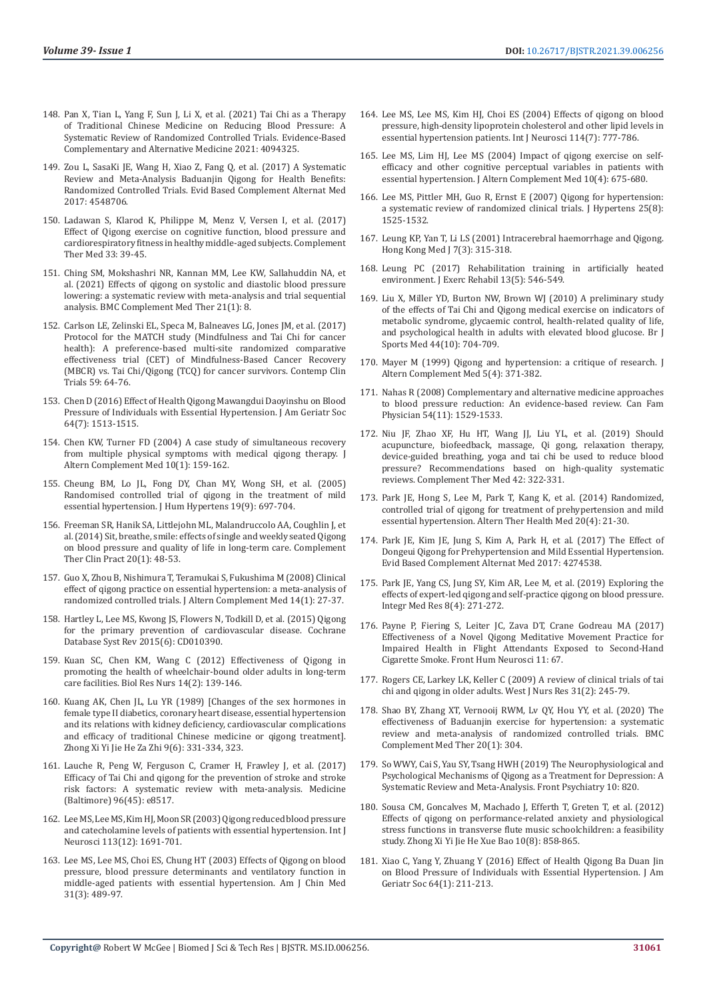- 148. [Pan X, Tian L, Yang F, Sun J, Li X, et al. \(2021\) Tai Chi as a Therapy](https://www.ncbi.nlm.nih.gov/pmc/articles/PMC8437614/)  [of Traditional Chinese Medicine on Reducing Blood Pressure: A](https://www.ncbi.nlm.nih.gov/pmc/articles/PMC8437614/)  [Systematic Review of Randomized Controlled Trials. Evidence-Based](https://www.ncbi.nlm.nih.gov/pmc/articles/PMC8437614/)  [Complementary and Alternative Medicine 2021: 4094325.](https://www.ncbi.nlm.nih.gov/pmc/articles/PMC8437614/)
- 149. [Zou L, SasaKi JE, Wang H, Xiao Z, Fang Q, et al. \(2017\) A Systematic](https://pubmed.ncbi.nlm.nih.gov/28367223/)  [Review and Meta-Analysis Baduanjin Qigong for Health Benefits:](https://pubmed.ncbi.nlm.nih.gov/28367223/)  [Randomized Controlled Trials. Evid Based Complement Alternat Med](https://pubmed.ncbi.nlm.nih.gov/28367223/)  [2017: 4548706.](https://pubmed.ncbi.nlm.nih.gov/28367223/)
- 150. [Ladawan S, Klarod K, Philippe M, Menz V, Versen I, et al. \(2017\)](https://pubmed.ncbi.nlm.nih.gov/28735824/)  [Effect of Qigong exercise on cognitive function, blood pressure and](https://pubmed.ncbi.nlm.nih.gov/28735824/)  [cardiorespiratory fitness in healthy middle-aged subjects. Complement](https://pubmed.ncbi.nlm.nih.gov/28735824/)  [Ther Med 33: 39-45.](https://pubmed.ncbi.nlm.nih.gov/28735824/)
- 151. [Ching SM, Mokshashri NR, Kannan MM, Lee KW, Sallahuddin NA, et](https://pubmed.ncbi.nlm.nih.gov/33407414/)  [al. \(2021\) Effects of qigong on systolic and diastolic blood pressure](https://pubmed.ncbi.nlm.nih.gov/33407414/)  [lowering: a systematic review with meta-analysis and trial sequential](https://pubmed.ncbi.nlm.nih.gov/33407414/)  [analysis. BMC Complement Med Ther 21\(1\): 8.](https://pubmed.ncbi.nlm.nih.gov/33407414/)
- 152. [Carlson LE, Zelinski EL, Speca M, Balneaves LG, Jones JM, et al. \(2017\)](https://pubmed.ncbi.nlm.nih.gov/28576734/)  [Protocol for the MATCH study \(Mindfulness and Tai Chi for cancer](https://pubmed.ncbi.nlm.nih.gov/28576734/)  [health\): A preference-based multi-site randomized comparative](https://pubmed.ncbi.nlm.nih.gov/28576734/)  [effectiveness trial \(CET\) of Mindfulness-Based Cancer Recovery](https://pubmed.ncbi.nlm.nih.gov/28576734/)  [\(MBCR\) vs. Tai Chi/Qigong \(TCQ\) for cancer survivors. Contemp Clin](https://pubmed.ncbi.nlm.nih.gov/28576734/)  [Trials 59: 64-76.](https://pubmed.ncbi.nlm.nih.gov/28576734/)
- 153. [Chen D \(2016\) Effect of Health Qigong Mawangdui Daoyinshu on Blood](https://pubmed.ncbi.nlm.nih.gov/27401850/)  [Pressure of Individuals with Essential Hypertension. J Am Geriatr Soc](https://pubmed.ncbi.nlm.nih.gov/27401850/)  [64\(7\): 1513-1515.](https://pubmed.ncbi.nlm.nih.gov/27401850/)
- 154. [Chen KW, Turner FD \(2004\) A case study of simultaneous recovery](https://pubmed.ncbi.nlm.nih.gov/15025889/)  [from multiple physical symptoms with medical qigong therapy. J](https://pubmed.ncbi.nlm.nih.gov/15025889/)  [Altern Complement Med 10\(1\): 159-162.](https://pubmed.ncbi.nlm.nih.gov/15025889/)
- 155. [Cheung BM, Lo JL, Fong DY, Chan MY, Wong SH, et al. \(2005\)](https://pubmed.ncbi.nlm.nih.gov/15905884/)  [Randomised controlled trial of qigong in the treatment of mild](https://pubmed.ncbi.nlm.nih.gov/15905884/)  [essential hypertension. J Hum Hypertens 19\(9\): 697-704.](https://pubmed.ncbi.nlm.nih.gov/15905884/)
- 156. [Freeman SR, Hanik SA, Littlejohn ML, Malandruccolo AA, Coughlin J, et](https://pubmed.ncbi.nlm.nih.gov/24439645/)  [al. \(2014\) Sit, breathe, smile: effects of single and weekly seated Qigong](https://pubmed.ncbi.nlm.nih.gov/24439645/)  [on blood pressure and quality of life in long-term care. Complement](https://pubmed.ncbi.nlm.nih.gov/24439645/)  [Ther Clin Pract 20\(1\): 48-53.](https://pubmed.ncbi.nlm.nih.gov/24439645/)
- 157. [Guo X, Zhou B, Nishimura T, Teramukai S, Fukushima M \(2008\) Clinical](https://pubmed.ncbi.nlm.nih.gov/18199012/)  [effect of qigong practice on essential hypertension: a meta-analysis of](https://pubmed.ncbi.nlm.nih.gov/18199012/)  [randomized controlled trials. J Altern Complement Med 14\(1\): 27-37.](https://pubmed.ncbi.nlm.nih.gov/18199012/)
- 158. [Hartley L, Lee MS, Kwong JS, Flowers N, Todkill D, et al. \(2015\) Qigong](https://pubmed.ncbi.nlm.nih.gov/26068956/)  [for the primary prevention of cardiovascular disease. Cochrane](https://pubmed.ncbi.nlm.nih.gov/26068956/)  [Database Syst Rev 2015\(6\): CD010390.](https://pubmed.ncbi.nlm.nih.gov/26068956/)
- 159. [Kuan SC, Chen KM, Wang C \(2012\) Effectiveness of Qigong in](https://pubmed.ncbi.nlm.nih.gov/21385797/)  [promoting the health of wheelchair-bound older adults in long-term](https://pubmed.ncbi.nlm.nih.gov/21385797/)  [care facilities. Biol Res Nurs 14\(2\): 139-146.](https://pubmed.ncbi.nlm.nih.gov/21385797/)
- 160. [Kuang AK, Chen JL, Lu YR \(1989\) \[Changes of the sex hormones in](https://pubmed.ncbi.nlm.nih.gov/2776274/)  [female type II diabetics, coronary heart disease, essential hypertension](https://pubmed.ncbi.nlm.nih.gov/2776274/)  [and its relations with kidney deficiency, cardiovascular complications](https://pubmed.ncbi.nlm.nih.gov/2776274/)  [and efficacy of traditional Chinese medicine or qigong treatment\].](https://pubmed.ncbi.nlm.nih.gov/2776274/)  [Zhong Xi Yi Jie He Za Zhi 9\(6\): 331-334, 323.](https://pubmed.ncbi.nlm.nih.gov/2776274/)
- 161. [Lauche R, Peng W, Ferguson C, Cramer H, Frawley J, et al. \(2017\)](https://pubmed.ncbi.nlm.nih.gov/29137055/)  [Efficacy of Tai Chi and qigong for the prevention of stroke and stroke](https://pubmed.ncbi.nlm.nih.gov/29137055/)  [risk factors: A systematic review with meta-analysis. Medicine](https://pubmed.ncbi.nlm.nih.gov/29137055/)  [\(Baltimore\) 96\(45\): e8517.](https://pubmed.ncbi.nlm.nih.gov/29137055/)
- 162. [Lee MS, Lee MS, Kim HJ, Moon SR \(2003\) Qigong reduced blood pressure](https://pubmed.ncbi.nlm.nih.gov/14602541/)  [and catecholamine levels of patients with essential hypertension. Int J](https://pubmed.ncbi.nlm.nih.gov/14602541/)  [Neurosci 113\(12\): 1691-701.](https://pubmed.ncbi.nlm.nih.gov/14602541/)
- 163. [Lee MS, Lee MS, Choi ES, Chung HT \(2003\) Effects of Qigong on blood](https://pubmed.ncbi.nlm.nih.gov/12943180/)  [pressure, blood pressure determinants and ventilatory function in](https://pubmed.ncbi.nlm.nih.gov/12943180/)  [middle-aged patients with essential hypertension. Am J Chin Med](https://pubmed.ncbi.nlm.nih.gov/12943180/)  [31\(3\): 489-97.](https://pubmed.ncbi.nlm.nih.gov/12943180/)
- 164. [Lee MS, Lee MS, Kim HJ, Choi ES \(2004\) Effects of qigong on blood](https://pubmed.ncbi.nlm.nih.gov/15204043/) [pressure, high-density lipoprotein cholesterol and other lipid levels in](https://pubmed.ncbi.nlm.nih.gov/15204043/) [essential hypertension patients. Int J Neurosci 114\(7\): 777-786.](https://pubmed.ncbi.nlm.nih.gov/15204043/)
- 165. [Lee MS, Lim HJ, Lee MS \(2004\) Impact of qigong exercise on self](https://pubmed.ncbi.nlm.nih.gov/15353025/)[efficacy and other cognitive perceptual variables in patients with](https://pubmed.ncbi.nlm.nih.gov/15353025/) [essential hypertension. J Altern Complement Med 10\(4\): 675-680.](https://pubmed.ncbi.nlm.nih.gov/15353025/)
- 166. [Lee MS, Pittler MH, Guo R, Ernst E \(2007\) Qigong for hypertension:](https://pubmed.ncbi.nlm.nih.gov/17620944/) [a systematic review of randomized clinical trials. J Hypertens 25\(8\):](https://pubmed.ncbi.nlm.nih.gov/17620944/) [1525-1532.](https://pubmed.ncbi.nlm.nih.gov/17620944/)
- 167. [Leung KP, Yan T, Li LS \(2001\) Intracerebral haemorrhage and Qigong.](https://pubmed.ncbi.nlm.nih.gov/11590277/) [Hong Kong Med J 7\(3\): 315-318.](https://pubmed.ncbi.nlm.nih.gov/11590277/)
- 168. [Leung PC \(2017\) Rehabilitation training in artificially heated](https://www.ncbi.nlm.nih.gov/pmc/articles/PMC5667601/) [environment. J Exerc Rehabil 13\(5\): 546-549.](https://www.ncbi.nlm.nih.gov/pmc/articles/PMC5667601/)
- 169. [Liu X, Miller YD, Burton NW, Brown WJ \(2010\) A preliminary study](https://pubmed.ncbi.nlm.nih.gov/18927159/) [of the effects of Tai Chi and Qigong medical exercise on indicators of](https://pubmed.ncbi.nlm.nih.gov/18927159/) [metabolic syndrome, glycaemic control, health-related quality of life,](https://pubmed.ncbi.nlm.nih.gov/18927159/) [and psychological health in adults with elevated blood glucose. Br J](https://pubmed.ncbi.nlm.nih.gov/18927159/) [Sports Med 44\(10\): 704-709.](https://pubmed.ncbi.nlm.nih.gov/18927159/)
- 170. [Mayer M \(1999\) Qigong and hypertension: a critique of research. J](https://pubmed.ncbi.nlm.nih.gov/10471018/) [Altern Complement Med 5\(4\): 371-382.](https://pubmed.ncbi.nlm.nih.gov/10471018/)
- 171. [Nahas R \(2008\) Complementary and alternative medicine approaches](https://pubmed.ncbi.nlm.nih.gov/19005120/) [to blood pressure reduction: An evidence-based review. Can Fam](https://pubmed.ncbi.nlm.nih.gov/19005120/) [Physician 54\(11\): 1529-1533.](https://pubmed.ncbi.nlm.nih.gov/19005120/)
- 172. [Niu JF, Zhao XF, Hu HT, Wang JJ, Liu YL, et al. \(2019\) Should](https://pubmed.ncbi.nlm.nih.gov/30670261/) [acupuncture, biofeedback, massage, Qi gong, relaxation therapy,](https://pubmed.ncbi.nlm.nih.gov/30670261/) [device-guided breathing, yoga and tai chi be used to reduce blood](https://pubmed.ncbi.nlm.nih.gov/30670261/) [pressure? Recommendations based on high-quality systematic](https://pubmed.ncbi.nlm.nih.gov/30670261/) [reviews. Complement Ther Med 42: 322-331.](https://pubmed.ncbi.nlm.nih.gov/30670261/)
- 173. [Park JE, Hong S, Lee M, Park T, Kang K, et al. \(2014\) Randomized,](https://pubmed.ncbi.nlm.nih.gov/25141360/) [controlled trial of qigong for treatment of prehypertension and mild](https://pubmed.ncbi.nlm.nih.gov/25141360/) [essential hypertension. Altern Ther Health Med 20\(4\): 21-30.](https://pubmed.ncbi.nlm.nih.gov/25141360/)
- 174. [Park JE, Kim JE, Jung S, Kim A, Park H, et al. \(2017\) The Effect of](https://pubmed.ncbi.nlm.nih.gov/29234395/) [Dongeui Qigong for Prehypertension and Mild Essential Hypertension.](https://pubmed.ncbi.nlm.nih.gov/29234395/) [Evid Based Complement Alternat Med 2017: 4274538.](https://pubmed.ncbi.nlm.nih.gov/29234395/)
- 175. [Park JE, Yang CS, Jung SY, Kim AR, Lee M, et al. \(2019\) Exploring the](https://pubmed.ncbi.nlm.nih.gov/31788421/) [effects of expert-led qigong and self-practice qigong on blood pressure.](https://pubmed.ncbi.nlm.nih.gov/31788421/) [Integr Med Res 8\(4\): 271-272.](https://pubmed.ncbi.nlm.nih.gov/31788421/)
- 176. [Payne P, Fiering S, Leiter JC, Zava DT, Crane Godreau MA \(2017\)](https://pubmed.ncbi.nlm.nih.gov/28270757/) [Effectiveness of a Novel Qigong Meditative Movement Practice for](https://pubmed.ncbi.nlm.nih.gov/28270757/) [Impaired Health in Flight Attendants Exposed to Second-Hand](https://pubmed.ncbi.nlm.nih.gov/28270757/) [Cigarette Smoke. Front Hum Neurosci 11: 67.](https://pubmed.ncbi.nlm.nih.gov/28270757/)
- 177. [Rogers CE, Larkey LK, Keller C \(2009\) A review of clinical trials of tai](https://pubmed.ncbi.nlm.nih.gov/19179544/) [chi and qigong in older adults. West J Nurs Res 31\(2\): 245-79.](https://pubmed.ncbi.nlm.nih.gov/19179544/)
- 178. [Shao BY, Zhang XT, Vernooij RWM, Lv QY, Hou YY, et al. \(2020\) The](https://bmccomplementmedtherapies.biomedcentral.com/articles/10.1186/s12906-020-03098-w) [effectiveness of Baduanjin exercise for hypertension: a systematic](https://bmccomplementmedtherapies.biomedcentral.com/articles/10.1186/s12906-020-03098-w) [review and meta-analysis of randomized controlled trials. BMC](https://bmccomplementmedtherapies.biomedcentral.com/articles/10.1186/s12906-020-03098-w) [Complement Med Ther 20\(1\): 304.](https://bmccomplementmedtherapies.biomedcentral.com/articles/10.1186/s12906-020-03098-w)
- 179. [So WWY, Cai S, Yau SY, Tsang HWH \(2019\) The Neurophysiological and](https://pubmed.ncbi.nlm.nih.gov/31824346/) [Psychological Mechanisms of Qigong as a Treatment for Depression: A](https://pubmed.ncbi.nlm.nih.gov/31824346/) [Systematic Review and Meta-Analysis. Front Psychiatry 10: 820.](https://pubmed.ncbi.nlm.nih.gov/31824346/)
- 180. [Sousa CM, Goncalves M, Machado J, Efferth T, Greten T, et al. \(2012\)](https://pubmed.ncbi.nlm.nih.gov/22883401/) [Effects of qigong on performance-related anxiety and physiological](https://pubmed.ncbi.nlm.nih.gov/22883401/) [stress functions in transverse flute music schoolchildren: a feasibility](https://pubmed.ncbi.nlm.nih.gov/22883401/) [study. Zhong Xi Yi Jie He Xue Bao 10\(8\): 858-865.](https://pubmed.ncbi.nlm.nih.gov/22883401/)
- 181. [Xiao C, Yang Y, Zhuang Y \(2016\) Effect of Health Qigong Ba Duan Jin](https://pubmed.ncbi.nlm.nih.gov/26782880/) [on Blood Pressure of Individuals with Essential Hypertension. J Am](https://pubmed.ncbi.nlm.nih.gov/26782880/) [Geriatr Soc 64\(1\): 211-213.](https://pubmed.ncbi.nlm.nih.gov/26782880/)